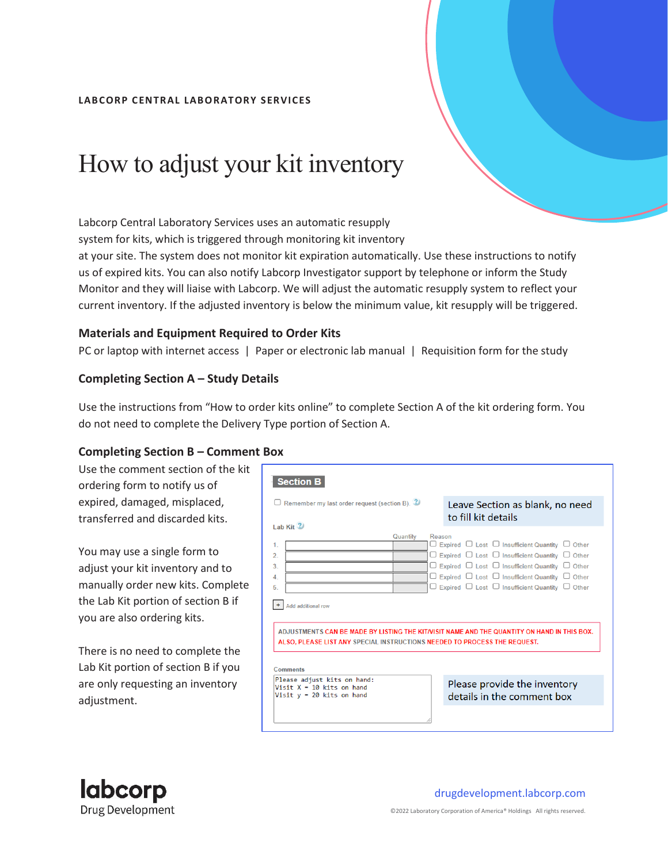#### **LAB CORP CENTRAL LAB ORATORY SERVICES**

# How to adjust your kit inventory

Labcorp Central Laboratory Services uses an automatic resupply

system for kits, which is triggered through monitoring kit inventory

at your site. The system does not monitor kit expiration automatically. Use these instructions to notify us of expired kits. You can also notify Labcorp Investigator support by telephone or inform the Study Monitor and they will liaise with Labcorp. We will adjust the automatic resupply system to reflect your current inventory. If the adjusted inventory is below the minimum value, kit resupply will be triggered.

#### **Materials and Equipment Required to Order Kits**

PC or laptop with internet access | Paper or electronic lab manual | Requisition form for the study

### **Completing Section A – Study Details**

Use the instructions from "How to order kits online" to complete Section A of the kit ordering form. You do not need to complete the Delivery Type portion of Section A.

## **Completing Section B – Comment Box**

Use the comment section of the kit ordering form to notify us of expired, damaged, misplaced, transferred and discarded kits.

You may use a single form to adjust your kit inventory and to manually order new kits. Complete the Lab Kit portion of section B if you are also ordering kits.

There is no need to complete the Lab Kit portion of section B if you are only requesting an inventory adjustment.

| <b>Section B</b><br>$\Box$ Remember my last order request (section B). $\mathbb Z$                                                                                                          | Leave Section as blank, no need<br>to fill kit details                                                                                                                                                                                                                                                                                                                         |
|---------------------------------------------------------------------------------------------------------------------------------------------------------------------------------------------|--------------------------------------------------------------------------------------------------------------------------------------------------------------------------------------------------------------------------------------------------------------------------------------------------------------------------------------------------------------------------------|
| $1$ ab Kit $(2)$<br>Quantity<br>1.<br>$\overline{2}$<br>3<br>4.<br>5.<br>Add additional row                                                                                                 | Reason<br>$\Box$ Expired $\Box$ Lost $\Box$ Insufficient Quantity $\Box$ Other<br>$\Box$ Expired $\Box$ Lost $\Box$ Insufficient Quantity $\Box$ Other<br>$\Box$ Expired $\Box$ Lost $\Box$ Insufficient Quantity $\Box$ Other<br>$\Box$ Expired $\Box$ Lost $\Box$ Insufficient Quantity $\Box$ Other<br>$\Box$ Expired $\Box$ Lost $\Box$ Insufficient Quantity $\Box$ Other |
| ADJUSTMENTS CAN BE MADE BY LISTING THE KIT/VISIT NAME AND THE QUANTITY ON HAND IN THIS BOX.<br>ALSO, PLEASE LIST ANY SPECIAL INSTRUCTIONS NEEDED TO PROCESS THE REQUEST.<br><b>Comments</b> |                                                                                                                                                                                                                                                                                                                                                                                |
| Please adjust kits on hand:<br>Visit $X = 10$ kits on hand<br>Visit $y = 20$ kits on hand                                                                                                   | Please provide the inventory<br>details in the comment box                                                                                                                                                                                                                                                                                                                     |